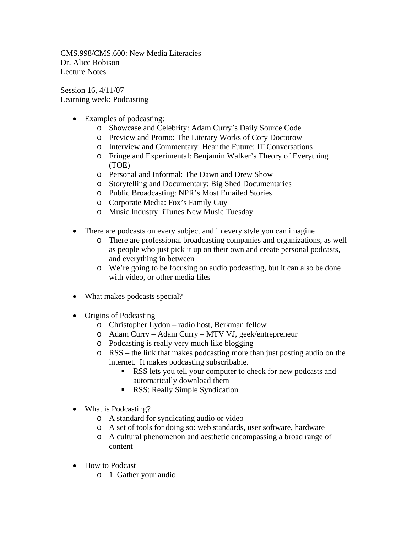CMS.998/CMS.600: New Media Literacies Dr. Alice Robison Lecture Notes

Session 16, 4/11/07 Learning week: Podcasting

- Examples of podcasting:
	- o Showcase and Celebrity: Adam Curry's Daily Source Code
	- o Preview and Promo: The Literary Works of Cory Doctorow
	- o Interview and Commentary: Hear the Future: IT Conversations
	- o Fringe and Experimental: Benjamin Walker's Theory of Everything (TOE)
	- o Personal and Informal: The Dawn and Drew Show
	- o Storytelling and Documentary: Big Shed Documentaries
	- o Public Broadcasting: NPR's Most Emailed Stories
	- o Corporate Media: Fox's Family Guy
	- o Music Industry: iTunes New Music Tuesday
- There are podcasts on every subject and in every style you can imagine
	- o There are professional broadcasting companies and organizations, as well as people who just pick it up on their own and create personal podcasts, and everything in between
	- o We're going to be focusing on audio podcasting, but it can also be done with video, or other media files
- What makes podcasts special?
- Origins of Podcasting
	- o Christopher Lydon radio host, Berkman fellow
	- o Adam Curry Adam Curry MTV VJ, geek/entrepreneur
	- o Podcasting is really very much like blogging
	- o RSS the link that makes podcasting more than just posting audio on the internet. It makes podcasting subscribable.
		- **RSS** lets you tell your computer to check for new podcasts and automatically download them
		- **RSS: Really Simple Syndication**
- What is Podcasting?
	- o A standard for syndicating audio or video
	- o A set of tools for doing so: web standards, user software, hardware
	- o A cultural phenomenon and aesthetic encompassing a broad range of content
- How to Podcast
	- o 1. Gather your audio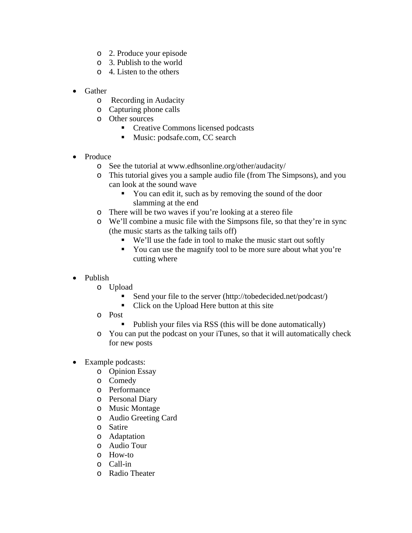- o 2. Produce your episode
- o 3. Publish to the world
- o 4. Listen to the others
- Gather
	- o Recording in Audacity
	- o Capturing phone calls
	- o Other sources
		- Creative Commons licensed podcasts
		- Music: podsafe.com, CC search
- Produce
	- o See the tutorial at www.edhsonline.org/other/audacity/
	- o This tutorial gives you a sample audio file (from The Simpsons), and you can look at the sound wave
		- You can edit it, such as by removing the sound of the door slamming at the end
	- o There will be two waves if you're looking at a stereo file
	- o We'll combine a music file with the Simpsons file, so that they're in sync (the music starts as the talking tails off)
		- We'll use the fade in tool to make the music start out softly
		- You can use the magnify tool to be more sure about what you're cutting where
- Publish
	- o Upload
		- Send your file to the server (http://tobedecided.net/podcast/)
		- Click on the Upload Here button at this site
	- o Post
		- Publish your files via RSS (this will be done automatically)
	- o You can put the podcast on your iTunes, so that it will automatically check for new posts
- Example podcasts:
	- o Opinion Essay
	- o Comedy
	- o Performance
	- o Personal Diary
	- o Music Montage
	- o Audio Greeting Card
	- o Satire
	- o Adaptation
	- o Audio Tour
	- o How-to
	- o Call-in
	- o Radio Theater